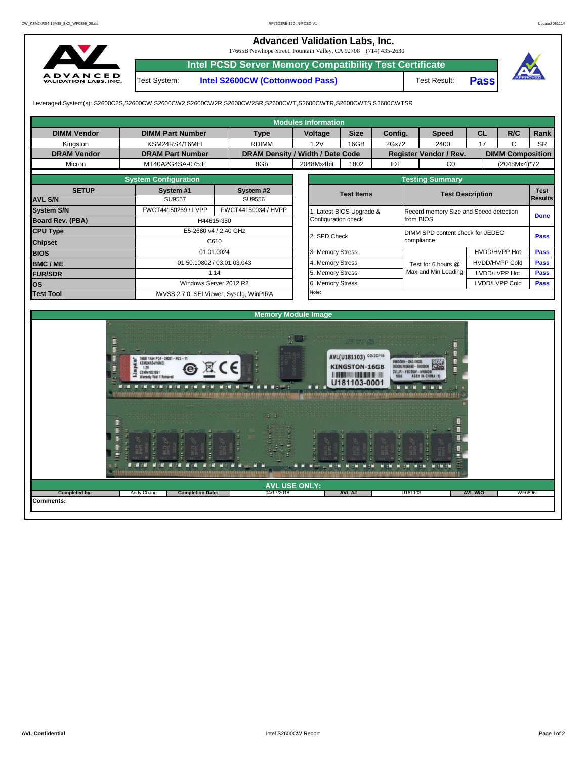## **Advanced Validation Labs, Inc.**

17665B Newhope Street, Fountain Valley, CA 92708 (714) 435-2630



**Intel PCSD Server Memory Compatibility Test Certificate** Test Result: **Pass** Test System: **Intel S2600CW (Cottonwood Pass)**

Leveraged System(s): S2600C2S,S2600CW,S2600CW2,S2600CW2R,S2600CW2SR,S2600CWT,S2600CWTR,S2600CWTS,S2600CWTSR

**Completion Date:** 

Ľ

Р

|                                                                                                                                                                                                                              |                             |                                                  |                                  |         | <b>Modules Information</b> |                       |                        |                                        |                         |                                          |                |     |                         |  |  |
|------------------------------------------------------------------------------------------------------------------------------------------------------------------------------------------------------------------------------|-----------------------------|--------------------------------------------------|----------------------------------|---------|----------------------------|-----------------------|------------------------|----------------------------------------|-------------------------|------------------------------------------|----------------|-----|-------------------------|--|--|
| <b>DIMM Vendor</b>                                                                                                                                                                                                           | <b>DIMM Part Number</b>     |                                                  |                                  | Voltage |                            | <b>Size</b>           | Config.                |                                        | <b>Speed</b>            |                                          | <b>CL</b>      | R/C | Rank                    |  |  |
| Kingston                                                                                                                                                                                                                     | KSM24RS4/16MEI              |                                                  | <b>RDIMM</b>                     |         | 1.2V                       | 16GB                  | 2Gx72                  |                                        | 2400                    | 17                                       |                | C   | <b>SR</b>               |  |  |
| <b>DRAM Vendor</b>                                                                                                                                                                                                           | <b>DRAM Part Number</b>     |                                                  | DRAM Density / Width / Date Code |         |                            |                       |                        |                                        | Register Vendor / Rev.  |                                          |                |     | <b>DIMM Composition</b> |  |  |
| Micron                                                                                                                                                                                                                       | MT40A2G4SA-075:E            |                                                  | 8Gb                              |         | 2048Mx4bit                 | 1802                  | <b>IDT</b>             |                                        | CO                      |                                          | (2048Mx4)*72   |     |                         |  |  |
|                                                                                                                                                                                                                              | <b>System Configuration</b> |                                                  |                                  |         |                            |                       | <b>Testing Summary</b> |                                        |                         |                                          |                |     |                         |  |  |
| <b>SETUP</b>                                                                                                                                                                                                                 | System #1                   |                                                  |                                  |         |                            | <b>Test Items</b>     |                        |                                        | <b>Test Description</b> |                                          |                |     |                         |  |  |
| <b>AVL S/N</b>                                                                                                                                                                                                               | <b>SU9557</b>               |                                                  | SU9556                           |         |                            |                       |                        |                                        | <b>Results</b>          |                                          |                |     |                         |  |  |
| <b>System S/N</b>                                                                                                                                                                                                            | FWCT44150269 / LVPP         |                                                  | FWCT44150034 / HVPP              |         |                            | Latest BIOS Upgrade & |                        | Record memory Size and Speed detection |                         |                                          |                |     |                         |  |  |
| <b>Board Rev. (PBA)</b>                                                                                                                                                                                                      |                             | H44615-350                                       |                                  |         | Configuration check        |                       |                        | from BIOS                              |                         |                                          |                |     | <b>Done</b>             |  |  |
| <b>CPU Type</b>                                                                                                                                                                                                              |                             | E5-2680 v4 / 2.40 GHz                            |                                  |         |                            |                       | 2. SPD Check           |                                        |                         | DIMM SPD content check for JEDEC<br>Pass |                |     |                         |  |  |
| <b>Chipset</b>                                                                                                                                                                                                               |                             | C610                                             |                                  |         |                            |                       |                        | compliance                             |                         |                                          |                |     |                         |  |  |
| <b>BIOS</b>                                                                                                                                                                                                                  |                             | 01.01.0024                                       |                                  |         |                            |                       |                        |                                        |                         | HVDD/HVPP Hot                            |                |     | Pass                    |  |  |
| <b>BMC/ME</b>                                                                                                                                                                                                                |                             | 01.50.10802 / 03.01.03.043                       |                                  |         |                            |                       |                        |                                        | Test for 6 hours @      | <b>HVDD/HVPP Cold</b>                    |                |     | <b>Pass</b>             |  |  |
| <b>FUR/SDR</b>                                                                                                                                                                                                               |                             | 1.14                                             |                                  |         |                            |                       |                        |                                        | Max and Min Loading     | LVDD/LVPP Hot                            |                |     | <b>Pass</b>             |  |  |
| los                                                                                                                                                                                                                          | Windows Server 2012 R2      |                                                  |                                  |         | 6. Memory Stress           |                       |                        |                                        |                         |                                          | LVDD/LVPP Cold |     | <b>Pass</b>             |  |  |
| <b>Test Tool</b>                                                                                                                                                                                                             |                             | Note:<br>iWVSS 2.7.0, SELViewer, Syscfq, WinPIRA |                                  |         |                            |                       |                        |                                        |                         |                                          |                |     |                         |  |  |
|                                                                                                                                                                                                                              |                             |                                                  |                                  |         |                            |                       |                        |                                        |                         |                                          |                |     |                         |  |  |
|                                                                                                                                                                                                                              |                             |                                                  | <b>Memory Module Image</b>       |         |                            |                       |                        |                                        |                         |                                          |                |     |                         |  |  |
| 軍<br>fE)<br>AVL(U181103) 02/20/18<br>16GB 1Rx4 PC4-2400T-RC2-11<br>65589-045.E00G<br>KSM24RS4/16MEI<br><b>KINGSTON-16GB</b><br>1.2V<br>CSMM1821891<br>U181103-0001<br>$\blacksquare$<br>- 4<br><b>MINE CALL AND</b><br>M - M |                             |                                                  |                                  |         |                            |                       |                        |                                        |                         |                                          |                |     |                         |  |  |

**Comments:**

04/17/2018 **AVL A# AVL USE ONLY: Completed by:** Andy Chang **AVL W/O** WF0896

U181103

n  $\begin{array}{c} 0 \\ 0 \end{array} \begin{array}{c} 0 \\ 0 \end{array}$  Ħ ā

M EM EM